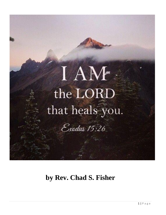

# **by Rev. Chad S. Fisher**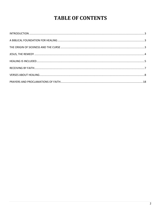## **TABLE OF CONTENTS**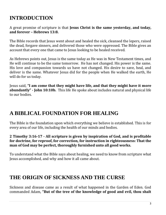## <span id="page-2-0"></span>**INTRODUCTION**

A great promise of scripture is that **Jesus Christ is the same yesterday, and today, and forever – Hebrews 13:8.** 

The Bible records that Jesus went about and healed the sick, cleansed the lepers, raised the dead, forgave sinners, and delivered those who were oppressed. The Bible gives an account that every one that came to Jesus looking to be healed received.

As Hebrews points out, Jesus is the same today as He was in New Testament times, and He will continue to be the same tomorrow. He has not changed. His power is the same. His love and compassion towards us have not changed. His desire to save, heal, and deliver is the same. Whatever Jesus did for the people when He walked the earth, He will do for us today.

Jesus said, **"I am come that they might have life, and that they might have it more abundantly" - John 10:10b.** This life He spoke about includes natural and physical life to our bodies.

### <span id="page-2-1"></span>**A BIBLICAL FOUNDATION FOR HEALING**

The Bible is the foundation upon which everything we believe is established. This is for every area of our life, including the health of our minds and bodies.

#### **2 Timothy 3:16-17 - All scripture is given by inspiration of God, and is profitable for doctrine, for reproof, for correction, for instruction in righteousness: That the man of God may be perfect, thoroughly furnished unto all good works.**

To understand what the Bible says about healing, we need to know from scripture what Jesus accomplished, and why and how it all came about.

### <span id="page-2-2"></span>**THE ORIGIN OF SICKNESS AND THE CURSE**

Sickness and disease came as a result of what happened in the Garden of Eden. God commanded Adam, **"But of the tree of the knowledge of good and evil, thou shalt**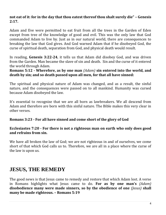#### **not eat of it: for in the day that thou eatest thereof thou shalt surely die" – Genesis 2:17.**

Adam and Eve were permitted to eat fruit from all the trees in the Garden of Eden except from tree of the knowledge of good and evil. This was the only law that God commanded Adam to live by. Just as in our natural world, there are consequences to breaking the law that God gives. And God warned Adam that if he disobeyed God, the curse of spiritual death, separation from God, and physical death would result.

In reading, **Genesis 3:22-24**, it tells us that Adam did disobey God, and was driven from the Garden. Man became the slave of sin and death. Sin and the curse of it entered the world through Adam.

#### **Romans 5:12 - Wherefore, as by one man** *(Adam)* **sin entered into the world, and death by sin; and so death passed upon all men, for that all have sinned:**

The spiritual and physical nature of Adam was changed, and as a result, the sinful nature, and the consequences were passed on to all mankind. Humanity was cursed because Adam disobeyed the law.

It's essential to recognize that we are all born as lawbreakers. We all descend from Adam and therefore are born with this sinful nature. The Bible makes this very clear in other verses.

#### **Romans 3:23 - For all have sinned and come short of the glory of God**

#### **Ecclesiastes 7:20 - For there is not a righteous man on earth who only does good and refrains from sin.**

We have all broken the law of God; we are not righteous in and of ourselves, we come short of that which God calls us to. Therefore, we are all in a place where the curse of the law is upon us.

### <span id="page-3-0"></span>**JESUS, THE REMEDY**

The good news is that Jesus came to remedy and restore that which Adam lost. A verse in Romans highlights what Jesus came to do. **For as by one man's** *(Adam)* **disobedience many were made sinners, so by the obedience of one** *(Jesus)* **shall many be made righteous. – Romans 5:19**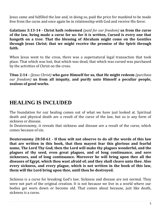Jesus came and fulfilled the law and, in doing so, paid the price for mankind to be made free from the curse and once again be in relationship with God and receive His favor.

**Galatians 3:13-14 - Christ hath redeemed** *(paid for our freedom)* **us from the curse of the law, being made a curse for us: for it is written, Cursed is every one that hangeth on a tree: That the blessing of Abraham might come on the Gentiles through Jesus Christ; that we might receive the promise of the Spirit through faith.**

When Jesus went to the cross, there was a supernatural legal transaction that took place. That which was lost, that which was dead, that which was cursed was purchased by the activities of Christ on the cross.

**Titus 2:14 -** *(Jesus Christ)* **who gave Himself for us, that He might redeem** *(purchase our freedom)* **us from all iniquity, and purify unto Himself a peculiar people, zealous of good works.**

### <span id="page-4-0"></span>**HEALING IS INCLUDED**

The foundation for our healing comes out of what we have just looked at. Spiritual death and physical death are a result of the curse of the law, but so is any form of sickness or disease.

In Deuteronomy, it reveals that sickness and disease are a result of the curse, which comes because of sin.

**Deuteronomy 28:58-61 - If thou wilt not observe to do all the words of this law that are written in this book, that thou mayest fear this glorious and fearful name, The Lord Thy God; then the Lord will make thy plagues wonderful, and the plagues of thy seed, even great plagues, and of long continuance, and sore sicknesses, and of long continuance. Moreover he will bring upon thee all the diseases of Egypt, which thou wast afraid of; and they shall cleave unto thee. Also every sickness, and every plague, which is not written in the book of this law, them will the Lord bring upon thee, until thou be destroyed.**

Sickness is a curse for breaking God's law. Sickness and disease are not normal. They were not part of the original creation. It is not because we live in a world where our bodies get worn down or become old. That comes about because, just like death, sickness is a curse.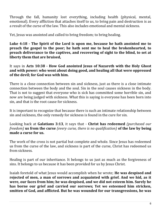Through the fall, humanity lost everything, including health (physical, mental, emotional). Every affliction that attaches itself to us, to bring pain and destruction is as a result of the curse of the law. This also includes emotional and mental sickness.

Yet, Jesus was anointed and called to bring freedom; to bring healing.

**Luke 4:18 - The Spirit of the Lord is upon me, because he hath anointed me to preach the gospel to the poor; he hath sent me to heal the brokenhearted, to preach deliverance to the captives, and recovering of sight to the blind, to set at liberty them that are bruised,**

It says in **Acts 10:38 - How God anointed Jesus of Nazareth with the Holy Ghost and with power: who went about doing good, and healing all that were oppressed of the devil; for God was with him.**

There is a close connection between sin and sickness, just as there is a close intimate connection between the body and the soul. Sin in the soul causes sickness in the body. That is not to suggest that everyone who is sick has committed some horrible sin, and now are being judged with sickness. What this is saying is everyone has been born into sin, and that is the root cause for sickness.

It is important to recognize that because there is such an intimate relationship between sin and sickness, the only remedy for sickness is found in the cure for sin.

Looking back at **Galatians 3:13**, it says that - **Christ has redeemed** *(purchased our freedom)* **us from the curse** *(every curse, there is no qualification)* **of the law by being made a curse for us.**

The work of the cross is not partial but complete and whole. Since Jesus has redeemed us from the curse of the law, and sickness is part of the curse, Christ has redeemed us from sickness.

Healing is part of our inheritance. It belongs to us just as much as the forgiveness of sins. It belongs to us because it has been provided for us by Jesus Christ.

Isaiah foretold of what Jesus would accomplish when he wrote; **He was despised and rejected of men, a man of sorrows and acquainted with grief. And we hid, as it were, our faces from him; he was despised, and we did not esteem him. Surely he has borne our grief and carried our sorrows; Yet we esteemed him stricken, smitten of God, and afflicted. But he was wounded for our transgressions, he was**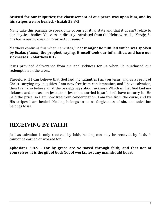#### **bruised for our iniquities; the chastisement of our peace was upon him, and by his stripes we are healed. - Isaiah 53:3-5**

Many take this passage to speak only of our spiritual state and that it doesn't relate to our physical bodies. Yet verse 4 directly translated from the Hebrew reads, *"Surely, he has borne our sickness, and carried our pains."*

Matthew confirms this when he writes, **That it might be fulfilled which was spoken by Esaias** *(Isaiah)* **the prophet, saying, Himself took our infirmities, and bare our sicknesses. - Matthew 8:17**

Jesus provided deliverance from sin and sickness for us when He purchased our redemption on the cross.

Therefore, if I can believe that God laid my iniquities (sin) on Jesus, and as a result of Christ carrying my iniquities, I am now free from condemnation, and I have salvation, then I can also believe what the passage says about sickness. Which is, that God laid my sickness and disease on Jesus, that Jesus has carried it, so I don't have to carry it. He paid the price, so I am now free from condemnation, I am free from the curse, and by His stripes I am healed. Healing belongs to us as forgiveness of sin, and salvation belongs to us.

### <span id="page-6-0"></span>**RECEIVING BY FAITH**

Just as salvation is only received by faith, healing can only be received by faith. It cannot be earned or worked for.

**Ephesians 2:8-9 - For by grace are ye saved through faith; and that not of yourselves: it is the gift of God: Not of works, lest any man should boast.**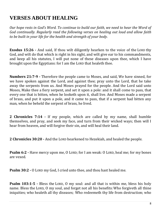## <span id="page-7-0"></span>**VERSES ABOUT HEALING**

*Our hope rests in God's Word. To continue to build our faith, we need to hear the Word of God continually. Regularly read the following verses on healing out loud and allow faith to be built in your life for the health and strength of your body.*

**Exodus 15:26 -** And said, If thou wilt diligently hearken to the voice of the LORD thy God, and wilt do that which is right in his sight, and wilt give ear to his commandments, and keep all his statutes, I will put none of these diseases upon thee, which I have brought upon the Egyptians: for I am the LORD that healeth thee.

**Numbers 21:7-9 -** Therefore the people came to Moses, and said, We have sinned, for we have spoken against the Lord, and against thee; pray unto the Lord, that he take away the serpents from us. And Moses prayed for the people. And the Lord said unto Moses, Make thee a fiery serpent, and set it upon a pole: and it shall come to pass, that every one that is bitten, when he looketh upon it, shall live. And Moses made a serpent of brass, and put it upon a pole, and it came to pass, that if a serpent had bitten any man, when he beheld the serpent of brass, he lived.

**2 Chronicles 7:14 -** If my people, which are called by my name, shall humble themselves, and pray, and seek my face, and turn from their wicked ways; then will I hear from heaven, and will forgive their sin, and will heal their land.

**2 Chronicles 30:20 -** And the LORD hearkened to Hezekiah, and healed the people.

**Psalm 6:2 -** Have mercy upon me, O LORD; for I am weak: O LORD, heal me; for my bones are vexed.

**Psalm 30:2 -** O LORD my God, I cried unto thee, and thou hast healed me.

**Psalm 103:1-5 -** Bless the LORD, O my soul: and all that is within me, bless his holy name. Bless the LORD, O my soul, and forget not all his benefits:Who forgiveth all thine iniquities; who healeth all thy diseases; Who redeemeth thy life from destruction; who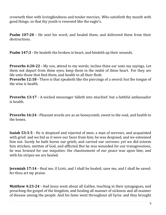crowneth thee with lovingkindness and tender mercies; Who satisfieth thy mouth with good things; so that thy youth is renewed like the eagle's.

**Psalm 107:20 -** He sent his word, and healed them, and delivered them from their destructions.

**Psalm 147:3 -** He healeth the broken in heart, and bindeth up their wounds.

**Proverbs 4:20-22 -** My son, attend to my words; incline thine ear unto my sayings. Let them not depart from thine eyes; keep them in the midst of thine heart. For they are life unto those that find them, and health to all their flesh.

**Proverbs 12:18 -** There is that speaketh like the piercings of a sword: but the tongue of the wise is health.

**Proverbs 13:17 -** A wicked messenger falleth into mischief: but a faithful ambassador is health.

**Proverbs 16:24 -** Pleasant words are as an honeycomb, sweet to the soul, and health to the bones.

**Isaiah 53:3-5 -** He is despised and rejected of men; a man of sorrows, and acquainted with grief: and we hid as it were our faces from him; he was despised, and we esteemed him not. Surely he hath borne our griefs, and carried our sorrows: yet we did esteem him stricken, smitten of God, and afflicted. But he was wounded for our transgressions, he was bruised for our iniquities: the chastisement of our peace was upon him; and with his stripes we are healed.

**Jeremiah 17:14 -** Heal me, O LORD, and I shall be healed; save me, and I shall be saved: for thou art my praise.

**Matthew 4:23-24 -** And Jesus went about all Galilee, teaching in their synagogues, and preaching the gospel of the kingdom, and healing all manner of sickness and all manner of disease among the people. And his fame went throughout all Syria: and they brought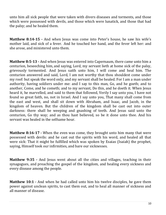unto him all sick people that were taken with divers diseases and torments, and those which were possessed with devils, and those which were lunatick, and those that had the palsy; and he healed them.

**Matthew 8:14-15 -** And when Jesus was come into Peter's house, he saw his wife's mother laid, and sick of a fever. And he touched her hand, and the fever left her: and she arose, and ministered unto them.

**Matthew 8:5-13 -** And when Jesus was entered into Capernaum, there came unto him a centurion, beseeching him, and saying, Lord, my servant lieth at home sick of the palsy, grievously tormented. And Jesus saith unto him, I will come and heal him. The centurion answered and said, Lord, I am not worthy that thou shouldest come under my roof: but speak the word only, and my servant shall be healed. For I am a man under authority, having soldiers under me: and I say to this man, Go, and he goeth; and to another, Come, and he cometh; and to my servant, Do this, and he doeth it. When Jesus heard it, he marvelled, and said to them that followed, Verily I say unto you, I have not found so great faith, no, not in Israel. And I say unto you, That many shall come from the east and west, and shall sit down with Abraham, and Isaac, and Jacob, in the kingdom of heaven. But the children of the kingdom shall be cast out into outer darkness: there shall be weeping and gnashing of teeth. And Jesus said unto the centurion, Go thy way; and as thou hast believed, so be it done unto thee. And his servant was healed in the selfsame hour.

**Matthew 8:16-17 -** When the even was come, they brought unto him many that were possessed with devils: and he cast out the spirits with his word, and healed all that were sick: That it might be fulfilled which was spoken by Esaias (Isaiah) the prophet, saying, Himself took our infirmities, and bare our sicknesses.

**Matthew 9:35 -** And Jesus went about all the cities and villages, teaching in their synagogues, and preaching the gospel of the kingdom, and healing every sickness and every disease among the people.

**Matthew 10:1 -** And when he had called unto him his twelve disciples, he gave them power against unclean spirits, to cast them out, and to heal all manner of sickness and all manner of disease.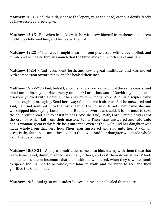**Matthew 10:8 -** Heal the sick, cleanse the lepers, raise the dead, cast out devils: freely ye have received, freely give.

**Matthew 12:15 -** But when Jesus knew it, he withdrew himself from thence: and great multitudes followed him, and he healed them all;

**Matthew 12:22 -** Then was brought unto him one possessed with a devil, blind, and dumb: and he healed him, insomuch that the blind and dumb both spake and saw.

**Matthew 14:14 -** And Jesus went forth, and saw a great multitude, and was moved with compassion toward them, and he healed their sick.

**Matthew 15:22-28 -** And, behold, a woman of Canaan came out of the same coasts, and cried unto him, saying, Have mercy on me, O Lord, thou son of David; my daughter is grievously vexed with a devil. But he answered her not a word. And his disciples came and besought him, saying, Send her away; for she crieth after us. But he answered and said, I am not sent but unto the lost sheep of the house of Israel. Then came she and worshipped him, saying, Lord, help me. But he answered and said, It is not meet to take the children's bread, and to cast it to dogs. And she said, Truth, Lord: yet the dogs eat of the crumbs which fall from their masters' table. Then Jesus answered and said unto her, O woman, great is thy faith: be it unto thee even as thou wilt. And her daughter was made whole from that very hour.Then Jesus answered and said unto her, O woman, great is thy faith: be it unto thee even as thou wilt. And her daughter was made whole from that very hour.

**Matthew 15:30-31 -** And great multitudes came unto him, having with them those that were lame, blind, dumb, maimed, and many others, and cast them down at Jesus' feet; and he healed them: Insomuch that the multitude wondered, when they saw the dumb to speak, the maimed to be whole, the lame to walk, and the blind to see: and they glorified the God of Israel.

**Matthew 19:2 -** And great multitudes followed him; and he healed them there.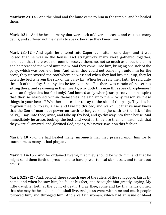**Matthew 21:14 -** And the blind and the lame came to him in the temple; and he healed them.

**Mark 1:34 -** And he healed many that were sick of divers diseases, and cast out many devils; and suffered not the devils to speak, because they knew him.

**Mark 2:1-12 -** And again he entered into Capernaum after some days; and it was noised that he was in the house. And straightway many were gathered together, insomuch that there was no room to receive them, no, not so much as about the door: and he preached the word unto them. And they come unto him, bringing one sick of the palsy, which was borne of four. And when they could not come nigh unto him for the press, they uncovered the roof where he was: and when they had broken it up, they let down the bed wherein the sick of the palsy lay. When Jesus saw their faith, he said unto the sick of the palsy, Son, thy sins be forgiven thee. But there was certain of the scribes sitting there, and reasoning in their hearts, why doth this man thus speak blasphemies? who can forgive sins but God only? And immediately when Jesus perceived in his spirit that they so reasoned within themselves, he said unto them, Why reason ye these things in your hearts? Whether is it easier to say to the sick of the palsy, Thy sins be forgiven thee; or to say, Arise, and take up thy bed, and walk? But that ye may know that the Son of man hath power on earth to forgive sins, (he saith to the sick of the palsy,) I say unto thee, Arise, and take up thy bed, and go thy way into thine house. And immediately he arose, took up the bed, and went forth before them all; insomuch that they were all amazed, and glorified God, saying, We never saw it on this fashion.

**Mark 3:10 -** For he had healed many; insomuch that they pressed upon him for to touch him, as many as had plagues.

**Mark 3:14-15 -** And he ordained twelve, that they should be with him, and that he might send them forth to preach, and to have power to heal sicknesses, and to cast out devils:

**Mark 5:22-42 -** And, behold, there cometh one of the rulers of the synagogue, Jairus by name; and when he saw him, he fell at his feet, and besought him greatly, saying, My little daughter lieth at the point of death: I pray thee, come and lay thy hands on her, that she may be healed; and she shall live. And Jesus went with him; and much people followed him, and thronged him. And a certain woman, which had an issue of blood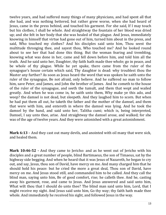twelve years, and had suffered many things of many physicians, and had spent all that she had, and was nothing bettered, but rather grew worse, when she had heard of Jesus, came in the press behind, and touched his garment. For she said, If I may touch but his clothes, I shall be whole. And straightway the fountain of her blood was dried up; and she felt in her body that she was healed of that plague. And Jesus, immediately knowing in himself that virtue had gone out of him, turned him about in the press, and said, Who touched my clothes? And his disciples said unto him, Thou seest the multitude thronging thee, and sayest thou, Who touched me? And he looked round about to see her that had done this thing. But the woman fearing and trembling, knowing what was done in her, came and fell down before him, and told him all the truth. And he said unto her, Daughter, thy faith hath made thee whole; go in peace, and be whole of thy plague. While he yet spake, there came from the ruler of the synagogue's house certain which said, Thy daughter is dead: why troublest thou the Master any further? As soon as Jesus heard the word that was spoken he saith unto the ruler of the synagogue, Be not afraid, only believe. And he suffered no man to follow him, save Peter, and James, and John the brother of James. And he cometh to the house of the ruler of the synagogue, and seeth the tumult, and them that wept and wailed greatly. And when he was come in, he saith unto them, Why make ye this ado, and weep? the damsel is not dead, but sleepeth. And they laughed him to scorn. But when he had put them all out, he taketh the father and the mother of the damsel, and them that were with him, and entereth in where the damsel was lying. And he took the damsel by the hand, and said unto her, Talitha cumi; which is, being interpreted, Damsel, I say unto thee, arise. And straightway the damsel arose, and walked; for she was of the age of twelve years. And they were astonished with a great astonishment.

**Mark 6:13 -** And they cast out many devils, and anointed with oil many that were sick, and healed them.

**Mark 10:46-52 -** And they came to Jericho: and as he went out of Jericho with his disciples and a great number of people, blind Bartimaeus, the son of Timaeus, sat by the highway side begging. And when he heard that it was Jesus of Nazareth, he began to cry out, and say, Jesus, thou son of David, have mercy on me. And many charged him that he should hold his peace: but he cried the more a great deal, Thou son of David, have mercy on me. And Jesus stood still, and commanded him to be called. And they call the blind man, saying unto him, Be of good comfort, rise; he calleth thee. And he, casting away his garment, rose, and came to Jesus. And Jesus answered and said unto him, What wilt thou that I should do unto thee? The blind man said unto him, Lord, that I might receive my sight. And Jesus said unto him, Go thy way; thy faith hath made thee whole. And immediately he received his sight, and followed Jesus in the way.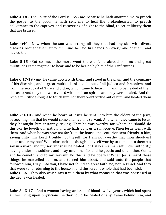**Luke 4:18 -** The Spirit of the Lord is upon me, because he hath anointed me to preach the gospel to the poor; he hath sent me to heal the brokenhearted, to preach deliverance to the captives, and recovering of sight to the blind, to set at liberty them that are bruised,

**Luke 4:40 -** Now when the sun was setting, all they that had any sick with divers diseases brought them unto him; and he laid his hands on every one of them, and healed them.

**Luke 5:15 -**But so much the more went there a fame abroad of him: and great multitudes came together to hear, and to be healed by him of their infirmities.

**Luke 6:17-19 -** And he came down with them, and stood in the plain, and the company of his disciples, and a great multitude of people out of all Judaea and Jerusalem, and from the sea coast of Tyre and Sidon, which came to hear him, and to be healed of their diseases;And they that were vexed with unclean spirits: and they were healed. And the whole multitude sought to touch him: for there went virtue out of him, and healed them all.

**Luke 7:3-10 -** And when he heard of Jesus, he sent unto him the elders of the Jews, beseeching him that he would come and heal his servant. And when they came to Jesus, they besought him instantly, saying, That he was worthy for whom he should do this: For he loveth our nation, and he hath built us a synagogue. Then Jesus went with them. And when he was now not far from the house, the centurion sent friends to him, saying unto him, Lord, trouble not thyself: for I am not worthy that thou shouldest enter under my roof:Wherefore neither thought I myself worthy to come unto thee: but say in a word, and my servant shall be healed. For I also am a man set under authority, having under me soldiers, and I say unto one, Go, and he goeth; and to another, Come, and he cometh; and to my servant, Do this, and he doeth it. When Jesus heard these things, he marvelled at him, and turned him about, and said unto the people that followed him, I say unto you, I have not found so great faith, no, not in Israel. And they that were sent, returning to the house, found the servant whole that had been sick. **Luke 8:36 -** They also which saw it told them by what means he that was possessed of the devils was healed.

**Luke 8:43-47 -** And a woman having an issue of blood twelve years, which had spent all her living upon physicians, neither could be healed of any, Came behind him, and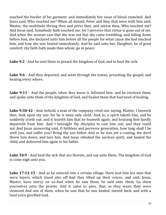touched the border of his garment: and immediately her issue of blood stanched. And Jesus said, Who touched me? When all denied, Peter and they that were with him said, Master, the multitude throng thee and press thee, and sayest thou, Who touched me? And Jesus said, Somebody hath touched me: for I perceive that virtue is gone out of me. And when the woman saw that she was not hid, she came trembling, and falling down before him, she declared unto him before all the people for what cause she had touched him, and how she was healed immediately. And he said unto her, Daughter, be of good comfort: thy faith hath made thee whole; go in peace.

**Luke 9:2 -** And he sent them to preach the kingdom of God, and to heal the sick.

**Luke 9:6 -** And they departed, and went through the towns, preaching the gospel, and healing every where.

**Luke 9:11 -** And the people, when they knew it, followed him: and he received them, and spake unto them of the kingdom of God, and healed them that had need of healing.

**Luke 9:38-42 -** And, behold, a man of the company cried out, saying, Master, I beseech thee, look upon my son: for he is mine only child. And, lo, a spirit taketh him, and he suddenly crieth out; and it teareth him that he foameth again, and bruising him hardly departeth from him. And I besought thy disciples to cast him out; and they could not.And Jesus answering said, O faithless and perverse generation, how long shall I be with you, and suffer you? Bring thy son hither. And as he was yet a coming, the devil threw him down, and tare him. And Jesus rebuked the unclean spirit, and healed the child, and delivered him again to his father.

**Luke 10:9 -** And heal the sick that are therein, and say unto them, The kingdom of God is come nigh unto you.

**Luke 17:12-15 -** And as he entered into a certain village, there met him ten men that were lepers, which stood afar off:And they lifted up their voices, and said, Jesus, Master, have mercy on us.And when he saw them, he said unto them, Go shew yourselves unto the priests. And it came to pass, that, as they went, they were cleansed.And one of them, when he saw that he was healed, turned back, and with a loud voice glorified God,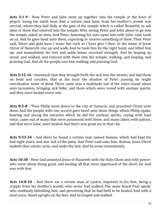**Acts 3:1-9 -** Now Peter and John went up together into the temple at the hour of prayer, being the ninth hour.And a certain man lame from his mother's womb was carried, whom they laid daily at the gate of the temple which is called Beautiful, to ask alms of them that entered into the temple; Who seeing Peter and John about to go into the temple asked an alms.And Peter, fastening his eyes upon him with John, said, Look on us.And he gave heed unto them, expecting to receive something of them. Then Peter said, Silver and gold have I none; but such as I have give I thee: In the name of Jesus Christ of Nazareth rise up and walk.And he took him by the right hand, and lifted him up: and immediately his feet and ankle bones received strength. And he leaping up stood, and walked, and entered with them into the temple, walking, and leaping, and praising God.And all the people saw him walking and praising God:

**Acts 5:15-16 -** Insomuch that they brought forth the sick into the streets, and laid them on beds and couches, that at the least the shadow of Peter passing by might overshadow some of them. There came also a multitude out of the cities round about unto Jerusalem, bringing sick folks, and them which were vexed with unclean spirits: and they were healed every one.

**Acts 8:5-8 -** Then Philip went down to the city of Samaria, and preached Christ unto them.And the people with one accord gave heed unto those things which Philip spake, hearing and seeing the miracles which he did. For unclean spirits, crying with loud voice, came out of many that were possessed with them: and many taken with palsies, and that were lame, were healed.And there was great joy in that city.

**Acts 9:33-34 -** And there he found a certain man named Aeneas, which had kept his bed eight years, and was sick of the palsy. And Peter said unto him, Aeneas, Jesus Christ maketh thee whole: arise, and make thy bed. And he arose immediately.

**Acts 10:38 -** How God anointed Jesus of Nazareth with the Holy Ghost and with power: who went about doing good, and healing all that were oppressed of the devil; for God was with him.

**Acts 14:8-10 -** And there sat a certain man at Lystra, impotent in his feet, being a cripple from his mother's womb, who never had walked: The same heard Paul speak: who stedfastly beholding him, and perceiving that he had faith to be healed, Said with a loud voice, Stand upright on thy feet. And he leaped and walked.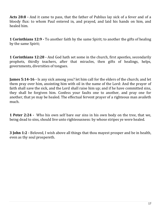**Acts 28:8 -** And it came to pass, that the father of Publius lay sick of a fever and of a bloody flux: to whom Paul entered in, and prayed, and laid his hands on him, and healed him.

**1 Corinthians 12:9 -** To another faith by the same Spirit; to another the gifts of healing by the same Spirit;

**1 Corinthians 12:28 -** And God hath set some in the church, first apostles, secondarily prophets, thirdly teachers, after that miracles, then gifts of healings, helps, governments, diversities of tongues.

**James 5:14-16 -** Is any sick among you? let him call for the elders of the church; and let them pray over him, anointing him with oil in the name of the Lord: And the prayer of faith shall save the sick, and the Lord shall raise him up; and if he have committed sins, they shall be forgiven him. Confess your faults one to another, and pray one for another, that ye may be healed. The effectual fervent prayer of a righteous man availeth much.

**1 Peter 2:24 -** Who his own self bare our sins in his own body on the tree, that we, being dead to sins, should live unto righteousness: by whose stripes ye were healed.

<span id="page-16-0"></span>**3 John 1:2 -** Beloved, I wish above all things that thou mayest prosper and be in health, even as thy soul prospereth.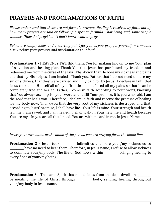## **PRAYERS AND PROCLAMATIONS OF FAITH**

*Please understand that these are not formula prayers. Healing is received by faith, not by how many prayers are said or following a specific formula. That being said, some people wonder, "How do I pray?" or "I don't know what to pray."*

*Below are simply ideas and a starting point for you as you pray for yourself or someone else. Declare your prayers and proclamations out loud.*

**Proclamation 1 -** HEAVENLY FATHER, thank You for making known to me Your plan of salvation and healing plan. Thank You that Jesus has purchased my freedom and redeemed me from the curse of the law. Thank-you that He bore my sickness and pains and that by His stripes, I am healed. Thank you, Father, that I do not need to bare my sin or sickness, that they were carried and fully paid for by Jesus. I declare in faith that Jesus took upon Himself all of my infirmities and suffered all my pains so that I can be completely free and healed. Father, I come in faith according to Your word, knowing that You always accomplish your word and fulfill Your promise. It is you who said, I am the Lord that heals you. Therefore, I declare in faith and receive the promise of healing for my body now. Thank-you that the very root of my sickness is destroyed and that, according to Jesus' promise, I shall have life. Your life is mine. Your strength and health is mine. I am saved, and I am healed. I shall walk in Your new life and health because You are my life, you are all that I need. You are with me and in me. In Jesus Name.

#### *Insert your own name or the name of the person you are praying for in the blank line.*

**Proclamation 2 -** Jesus took infirmities and bore your/my sicknesses so have no need to bear them. Therefore, in Jesus name, I refuse to allow sickness to dominate your/my body. The life of God flows within bringing healing to every fiber of your/my being.

**Proclamation 3 -** The same Spirit that raised Jesus from the dead dwells in permeating the life of Christ through \_\_\_\_\_\_\_\_\_\_ body, sending healing throughout your/my body in Jesus name.